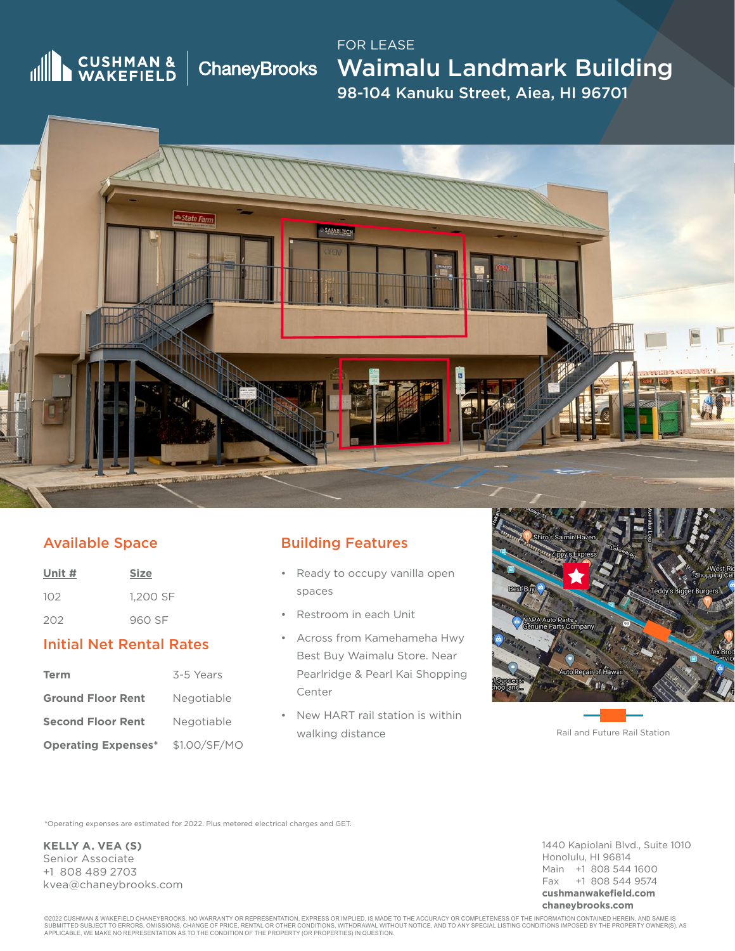# **IN CUSHMAN &**

ChaneyBrooks Waimalu Landmark Building 98-104 Kanuku Street, Aiea, HI 96701 FOR LEASE



## Available Space

| Unit # | <b>Size</b> |
|--------|-------------|
| 102    | 1.200 SF    |
| 202    | 960 SF      |

#### Initial Net Rental Rates

| Term                       | 3-5 Years    |
|----------------------------|--------------|
| <b>Ground Floor Rent</b>   | Negotiable   |
| <b>Second Floor Rent</b>   | Negotiable   |
| <b>Operating Expenses*</b> | \$1.00/SF/MO |

## Building Features

- Ready to occupy vanilla open spaces
- Restroom in each Unit
- Across from Kamehameha Hwy Best Buy Waimalu Store. Near Pearlridge & Pearl Kai Shopping Center
- New HART rail station is within walking distance



Rail and Future Rail Station

\*Operating expenses are estimated for 2022. Plus metered electrical charges and GET.

**KELLY A. VEA (S)** Senior Associate +1 808 489 2703 kvea@chaneybrooks.com 1440 Kapiolani Blvd., Suite 1010 Honolulu, HI 96814 Main +1 808 544 1600 Fax +1 808 544 9574 **cushmanwakefield.com chaneybrooks.com**

©2022 CUSHMAN & WAKEFIELD CHANEYBROOKS. NO WARRANTY OR REPRESENTATION, EXPRESS OR IMPLIED, IS MADE TO THE ACCURACY OR COMPLETENESS OF THE INFORMATION CONTAINED HEREIN, AND SAME IS<br>SUBMITTED SUBJECT TO ERRORS, OMISSIONS, C